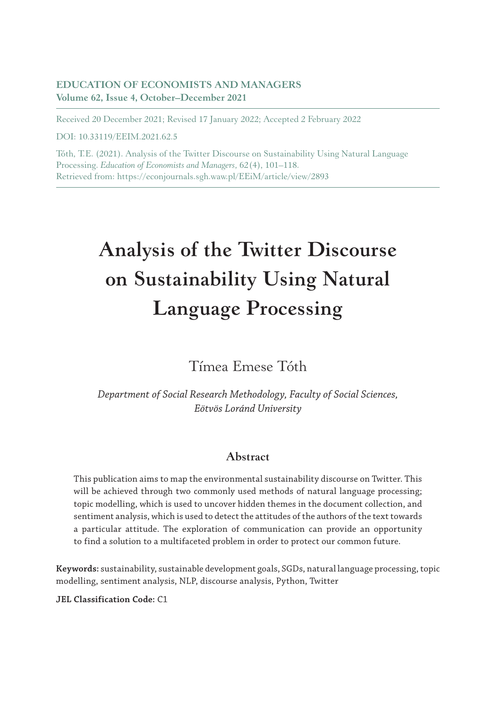#### **EDUCATION OF ECONOMISTS AND MANAGERS Volume 62, Issue 4, October–December 2021**

Received 20 December 2021; Revised 17 January 2022; Accepted 2 February 2022

DOI: 10.33119/EEIM.2021.62.5

Tóth, T.E. (2021). Analysis of the Twitter Discourse on Sustainability Using Natural Language Processing. *Education of Economists and Managers*, 62(4), 101–118. Retrieved from: https://econjournals.sgh.waw.pl/EEiM/article/view/2893

# **Analysis of the Twitter Discourse on Sustainability Using Natural Language Processing**

Tímea Emese Tóth

*Department of Social Research Methodology, Faculty of Social Sciences, Eötvös Loránd University*

#### **Abstract**

This publication aims to map the environmental sustainability discourse on Twitter. This will be achieved through two commonly used methods of natural language processing; topic modelling, which is used to uncover hidden themes in the document collection, and sentiment analysis, which is used to detect the attitudes of the authors of the text towards a particular attitude. The exploration of communication can provide an opportunity to find a solution to a multifaceted problem in order to protect our common future.

**Keywords:** sustainability, sustainable development goals, SGDs, natural language processing, topic modelling, sentiment analysis, NLP, discourse analysis, Python, Twitter

**JEL Classification Code:** C1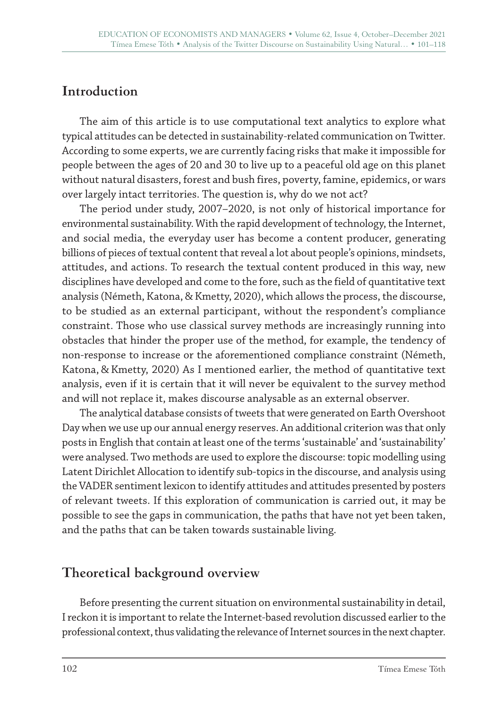## **Introduction**

The aim of this article is to use computational text analytics to explore what typical attitudes can be detected in sustainability-related communication on Twitter. According to some experts, we are currently facing risks that make it impossible for people between the ages of 20 and 30 to live up to a peaceful old age on this planet without natural disasters, forest and bush fires, poverty, famine, epidemics, or wars over largely intact territories. The question is, why do we not act?

The period under study, 2007–2020, is not only of historical importance for environmental sustainability. With the rapid development of technology, the Internet, and social media, the everyday user has become a content producer, generating billions of pieces of textual content that reveal a lot about people's opinions, mindsets, attitudes, and actions. To research the textual content produced in this way, new disciplines have developed and come to the fore, such as the field of quantitative text analysis (Németh, Katona, & Kmetty, 2020), which allows the process, the discourse, to be studied as an external participant, without the respondent's compliance constraint. Those who use classical survey methods are increasingly running into obstacles that hinder the proper use of the method, for example, the tendency of non-response to increase or the aforementioned compliance constraint (Németh, Katona, & Kmetty, 2020) As I mentioned earlier, the method of quantitative text analysis, even if it is certain that it will never be equivalent to the survey method and will not replace it, makes discourse analysable as an external observer.

The analytical database consists of tweets that were generated on Earth Overshoot Day when we use up our annual energy reserves. An additional criterion was that only posts in English that contain at least one of the terms 'sustainable' and 'sustainability' were analysed. Two methods are used to explore the discourse: topic modelling using Latent Dirichlet Allocation to identify sub-topics in the discourse, and analysis using the VADER sentiment lexicon to identify attitudes and attitudes presented by posters of relevant tweets. If this exploration of communication is carried out, it may be possible to see the gaps in communication, the paths that have not yet been taken, and the paths that can be taken towards sustainable living.

## **Theoretical background overview**

Before presenting the current situation on environmental sustainability in detail, I reckon it is important to relate the Internet-based revolution discussed earlier to the professional context, thus validating the relevance of Internet sources in the next chapter.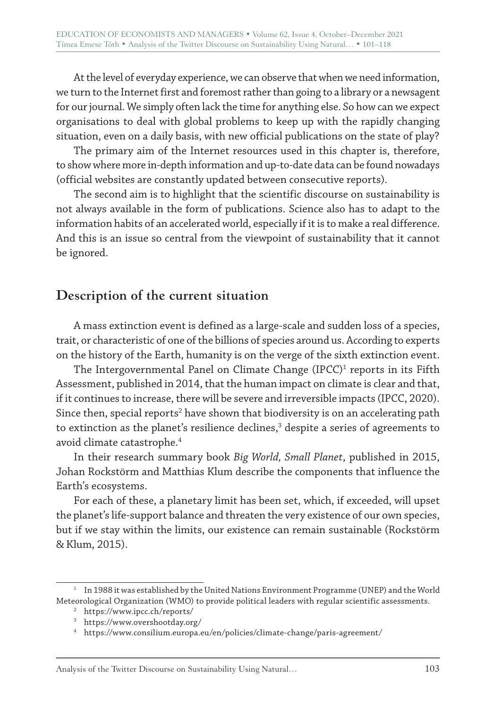At the level of everyday experience, we can observe that when we need information, we turn to the Internet first and foremost rather than going to a library or a newsagent for our journal. We simply often lack the time for anything else. So how can we expect organisations to deal with global problems to keep up with the rapidly changing situation, even on a daily basis, with new official publications on the state of play?

The primary aim of the Internet resources used in this chapter is, therefore, to show where more in-depth information and up-to-date data can be found nowadays (official websites are constantly updated between consecutive reports).

The second aim is to highlight that the scientific discourse on sustainability is not always available in the form of publications. Science also has to adapt to the information habits of an accelerated world, especially if it is to make a real difference. And this is an issue so central from the viewpoint of sustainability that it cannot be ignored.

## **Description of the current situation**

A mass extinction event is defined as a large-scale and sudden loss of a species, trait, or characteristic of one of the billions of species around us. According to experts on the history of the Earth, humanity is on the verge of the sixth extinction event.

The Intergovernmental Panel on Climate Change (IPCC) $^{\rm 1}$  reports in its Fifth Assessment, published in 2014, that the human impact on climate is clear and that, if it continues to increase, there will be severe and irreversible impacts (IPCC, 2020). Since then, special reports $^2$  have shown that biodiversity is on an accelerating path to extinction as the planet's resilience declines,<sup>3</sup> despite a series of agreements to avoid climate catastrophe.4

In their research summary book *Big World, Small Planet*, published in 2015, Johan Rockstörm and Matthias Klum describe the components that influence the Earth's ecosystems.

For each of these, a planetary limit has been set, which, if exceeded, will upset the planet's life-support balance and threaten the very existence of our own species, but if we stay within the limits, our existence can remain sustainable (Rockstörm & Klum, 2015).

 $1$  In 1988 it was established by the United Nations Environment Programme (UNEP) and the World Meteorological Organization (WMO) to provide political leaders with regular scientific assessments.

<sup>2</sup> https://www.ipcc.ch/reports/

<sup>3</sup> https://www.overshootday.org/

<sup>4</sup> https://www.consilium.europa.eu/en/policies/climate-change/paris-agreement/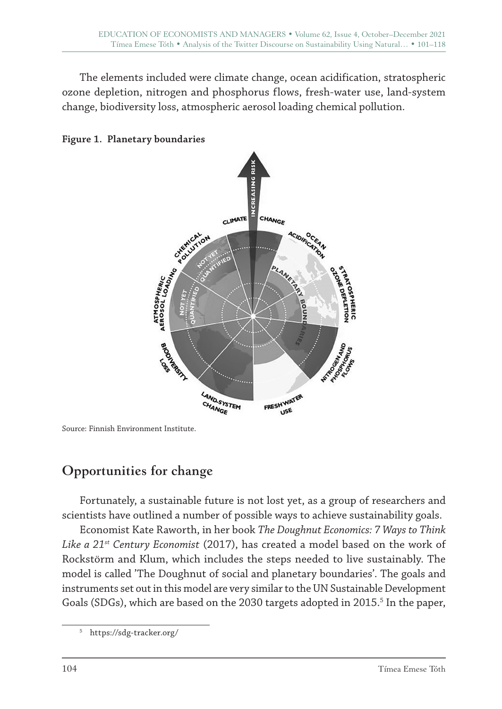The elements included were climate change, ocean acidification, stratospheric ozone depletion, nitrogen and phosphorus flows, fresh-water use, land-system change, biodiversity loss, atmospheric aerosol loading chemical pollution.





# **Opportunities for change**

Fortunately, a sustainable future is not lost yet, as a group of researchers and scientists have outlined a number of possible ways to achieve sustainability goals.

Economist Kate Raworth, in her book *The Doughnut Economics: 7 Ways to Think Like a 21st Century Economist* (2017), has created a model based on the work of Rockstörm and Klum, which includes the steps needed to live sustainably. The model is called 'The Doughnut of social and planetary boundaries'. The goals and instruments set out in this model are very similar to the UN Sustainable Development Goals (SDGs), which are based on the 2030 targets adopted in 2015.<sup>5</sup> In the paper,

Source: Finnish Environment Institute.

<sup>5</sup> https://sdg-tracker.org/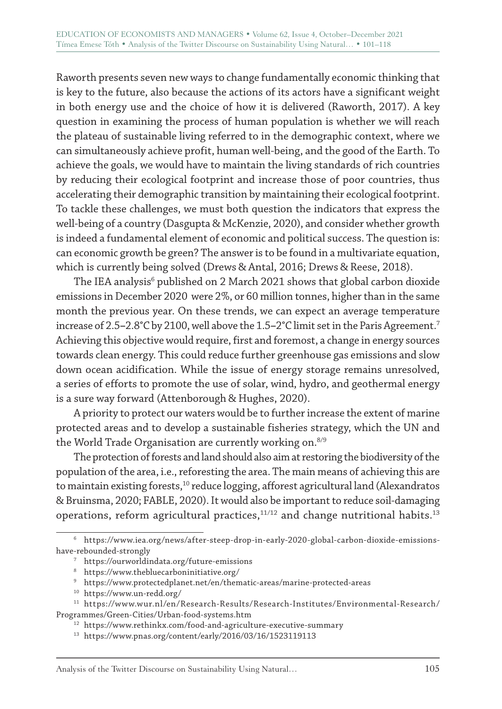Raworth presents seven new ways to change fundamentally economic thinking that is key to the future, also because the actions of its actors have a significant weight in both energy use and the choice of how it is delivered (Raworth, 2017). A key question in examining the process of human population is whether we will reach the plateau of sustainable living referred to in the demographic context, where we can simultaneously achieve profit, human well-being, and the good of the Earth. To achieve the goals, we would have to maintain the living standards of rich countries by reducing their ecological footprint and increase those of poor countries, thus accelerating their demographic transition by maintaining their ecological footprint. To tackle these challenges, we must both question the indicators that express the well-being of a country (Dasgupta & McKenzie, 2020), and consider whether growth is indeed a fundamental element of economic and political success. The question is: can economic growth be green? The answer is to be found in a multivariate equation, which is currently being solved (Drews & Antal, 2016; Drews & Reese, 2018).

The IEA analysis $^{\rm 6}$  published on 2 March 2021 shows that global carbon dioxide emissions in December 2020 were 2%, or 60 million tonnes, higher than in the same month the previous year. On these trends, we can expect an average temperature increase of 2.5**–**2.8°C by 2100, well above the 1.5**–**2°C limit set in the Paris Agreement.7 Achieving this objective would require, first and foremost, a change in energy sources towards clean energy. This could reduce further greenhouse gas emissions and slow down ocean acidification. While the issue of energy storage remains unresolved, a series of efforts to promote the use of solar, wind, hydro, and geothermal energy is a sure way forward (Attenborough & Hughes, 2020).

A priority to protect our waters would be to further increase the extent of marine protected areas and to develop a sustainable fisheries strategy, which the UN and the World Trade Organisation are currently working on.<sup>8/9</sup>

The protection of forests and land should also aim at restoring the biodiversity of the population of the area, i.e., reforesting the area. The main means of achieving this are to maintain existing forests,<sup>10</sup> reduce logging, afforest agricultural land (Alexandratos & Bruinsma, 2020; FABLE, 2020). It would also be important to reduce soil-damaging operations, reform agricultural practices, $11/12$  and change nutritional habits.<sup>13</sup>

<sup>6</sup> https://www.iea.org/news/after-steep-drop-in-early-2020-global-carbon-dioxide-emissionshave-rebounded-strongly

<sup>7</sup> https://ourworldindata.org/future-emissions

<sup>8</sup> https://www.thebluecarboninitiative.org/

<sup>9</sup> https://www.protectedplanet.net/en/thematic-areas/marine-protected-areas

<sup>10</sup> https://www.un-redd.org/

 $^{\rm 11}$ https://www.wur.nl/en/Research-Results/Research-Institutes/Environmental-Research/ Programmes/Green-Cities/Urban-food-systems.htm

<sup>12</sup> https://www.rethinkx.com/food-and-agriculture-executive-summary

<sup>13</sup> https://www.pnas.org/content/early/2016/03/16/1523119113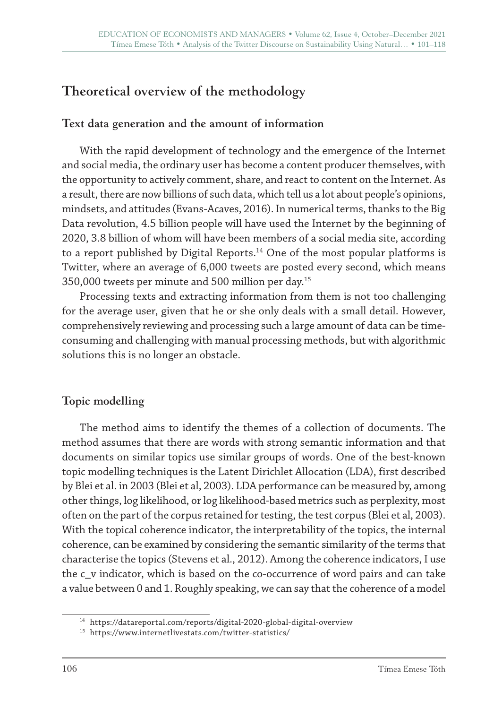## **Theoretical overview of the methodology**

#### **Text data generation and the amount of information**

With the rapid development of technology and the emergence of the Internet and social media, the ordinary user has become a content producer themselves, with the opportunity to actively comment, share, and react to content on the Internet. As a result, there are now billions of such data, which tell us a lot about people's opinions, mindsets, and attitudes (Evans-Acaves, 2016). In numerical terms, thanks to the Big Data revolution, 4.5 billion people will have used the Internet by the beginning of 2020, 3.8 billion of whom will have been members of a social media site, according to a report published by Digital Reports.<sup>14</sup> One of the most popular platforms is Twitter, where an average of 6,000 tweets are posted every second, which means 350,000 tweets per minute and 500 million per day.15

Processing texts and extracting information from them is not too challenging for the average user, given that he or she only deals with a small detail. However, comprehensively reviewing and processing such a large amount of data can be timeconsuming and challenging with manual processing methods, but with algorithmic solutions this is no longer an obstacle.

## **Topic modelling**

The method aims to identify the themes of a collection of documents. The method assumes that there are words with strong semantic information and that documents on similar topics use similar groups of words. One of the best-known topic modelling techniques is the Latent Dirichlet Allocation (LDA), first described by Blei et al. in 2003 (Blei et al, 2003). LDA performance can be measured by, among other things, log likelihood, or log likelihood-based metrics such as perplexity, most often on the part of the corpus retained for testing, the test corpus (Blei et al, 2003). With the topical coherence indicator, the interpretability of the topics, the internal coherence, can be examined by considering the semantic similarity of the terms that characterise the topics (Stevens et al., 2012). Among the coherence indicators, I use the c\_v indicator, which is based on the co-occurrence of word pairs and can take a value between 0 and 1. Roughly speaking, we can say that the coherence of a model

<sup>14</sup> https://datareportal.com/reports/digital-2020-global-digital-overview

<sup>15</sup> https://www.internetlivestats.com/twitter-statistics/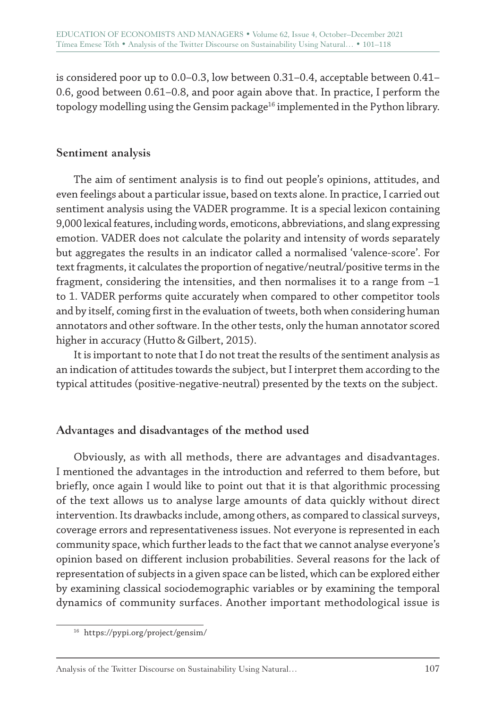is considered poor up to 0.0–0.3, low between 0.31–0.4, acceptable between 0.41– 0.6, good between 0.61–0.8, and poor again above that. In practice, I perform the topology modelling using the Gensim package<sup>16</sup> implemented in the Python library.

#### **Sentiment analysis**

The aim of sentiment analysis is to find out people's opinions, attitudes, and even feelings about a particular issue, based on texts alone. In practice, I carried out sentiment analysis using the VADER programme. It is a special lexicon containing 9,000 lexical features, including words, emoticons, abbreviations, and slang expressing emotion. VADER does not calculate the polarity and intensity of words separately but aggregates the results in an indicator called a normalised 'valence-score'. For text fragments, it calculates the proportion of negative/neutral/positive terms in the fragment, considering the intensities, and then normalises it to a range from –1 to 1. VADER performs quite accurately when compared to other competitor tools and by itself, coming first in the evaluation of tweets, both when considering human annotators and other software. In the other tests, only the human annotator scored higher in accuracy (Hutto & Gilbert, 2015).

It is important to note that I do not treat the results of the sentiment analysis as an indication of attitudes towards the subject, but I interpret them according to the typical attitudes (positive-negative-neutral) presented by the texts on the subject.

#### **Advantages and disadvantages of the method used**

Obviously, as with all methods, there are advantages and disadvantages. I mentioned the advantages in the introduction and referred to them before, but briefly, once again I would like to point out that it is that algorithmic processing of the text allows us to analyse large amounts of data quickly without direct intervention. Its drawbacks include, among others, as compared to classical surveys, coverage errors and representativeness issues. Not everyone is represented in each community space, which further leads to the fact that we cannot analyse everyone's opinion based on different inclusion probabilities. Several reasons for the lack of representation of subjects in a given space can be listed, which can be explored either by examining classical sociodemographic variables or by examining the temporal dynamics of community surfaces. Another important methodological issue is

<sup>16</sup> https://pypi.org/project/gensim/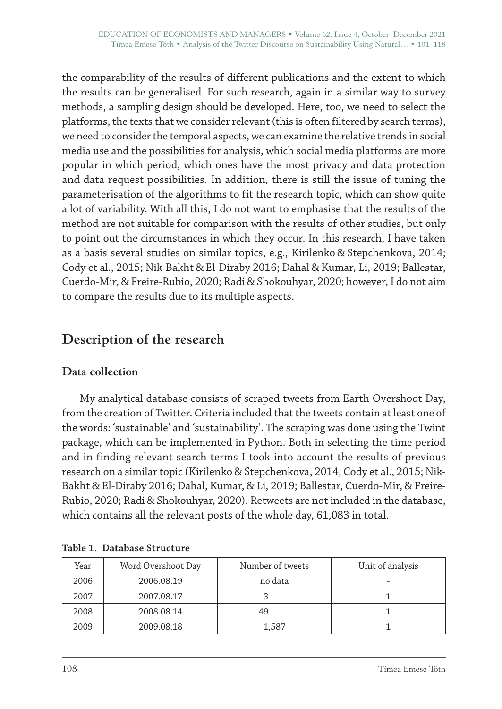the comparability of the results of different publications and the extent to which the results can be generalised. For such research, again in a similar way to survey methods, a sampling design should be developed. Here, too, we need to select the platforms, the texts that we consider relevant (this is often filtered by search terms), we need to consider the temporal aspects, we can examine the relative trends in social media use and the possibilities for analysis, which social media platforms are more popular in which period, which ones have the most privacy and data protection and data request possibilities. In addition, there is still the issue of tuning the parameterisation of the algorithms to fit the research topic, which can show quite a lot of variability. With all this, I do not want to emphasise that the results of the method are not suitable for comparison with the results of other studies, but only to point out the circumstances in which they occur. In this research, I have taken as a basis several studies on similar topics, e.g., Kirilenko & Stepchenkova, 2014; Cody et al., 2015; Nik-Bakht & El-Diraby 2016; Dahal & Kumar, Li, 2019; Ballestar, Cuerdo-Mir, & Freire-Rubio, 2020; Radi & Shokouhyar, 2020; however, I do not aim to compare the results due to its multiple aspects.

## **Description of the research**

#### **Data collection**

My analytical database consists of scraped tweets from Earth Overshoot Day, from the creation of Twitter. Criteria included that the tweets contain at least one of the words: 'sustainable' and 'sustainability'. The scraping was done using the Twint package, which can be implemented in Python. Both in selecting the time period and in finding relevant search terms I took into account the results of previous research on a similar topic (Kirilenko & Stepchenkova, 2014; Cody et al., 2015; Nik-Bakht & El-Diraby 2016; Dahal, Kumar, & Li, 2019; Ballestar, Cuerdo-Mir, & Freire-Rubio, 2020; Radi & Shokouhyar, 2020). Retweets are not included in the database, which contains all the relevant posts of the whole day, 61,083 in total.

| Year | Word Overshoot Day | Number of tweets | Unit of analysis |
|------|--------------------|------------------|------------------|
| 2006 | 2006.08.19         | no data          |                  |
| 2007 | 2007.08.17         |                  |                  |
| 2008 | 2008.08.14         | 49               |                  |
| 2009 | 2009.08.18         | 1,587            |                  |

**Table 1. Database Structure**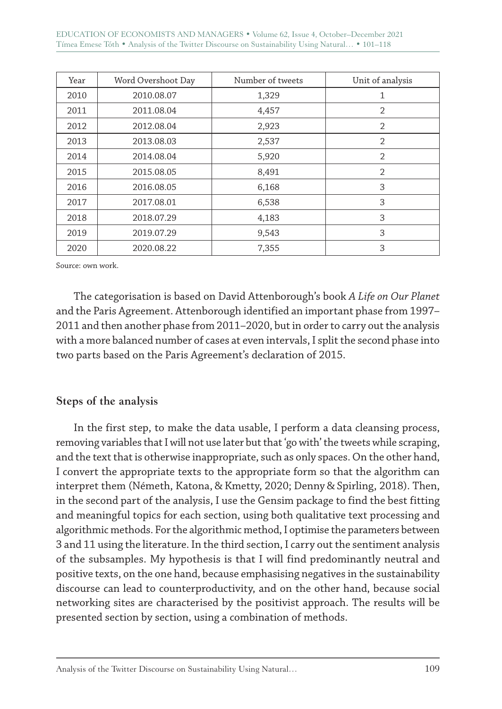EDUCATION OF ECONOMISTS AND MANAGERS • Volume 62, Issue 4, October–December 2021 Tímea Emese Tóth • Analysis of the Twitter Discourse on Sustainability Using Natural… • 101–118

| Year | Word Overshoot Day | Number of tweets | Unit of analysis |
|------|--------------------|------------------|------------------|
| 2010 | 2010.08.07         | 1,329            | 1                |
| 2011 | 2011.08.04         | 4,457            | $\overline{2}$   |
| 2012 | 2012.08.04         | 2,923            | $\overline{2}$   |
| 2013 | 2013.08.03         | 2,537            | $\overline{2}$   |
| 2014 | 2014.08.04         | 5,920            | $\overline{2}$   |
| 2015 | 2015.08.05         | 8,491            | $\overline{2}$   |
| 2016 | 2016.08.05         | 6,168            | 3                |
| 2017 | 2017.08.01         | 6,538            | 3                |
| 2018 | 2018.07.29         | 4,183            | 3                |
| 2019 | 2019.07.29         | 9,543            | 3                |
| 2020 | 2020.08.22         | 7,355            | 3                |

Source: own work.

The categorisation is based on David Attenborough's book *A Life on Our Planet* and the Paris Agreement. Attenborough identified an important phase from 1997– 2011 and then another phase from 2011–2020, but in order to carry out the analysis with a more balanced number of cases at even intervals, I split the second phase into two parts based on the Paris Agreement's declaration of 2015.

#### **Steps of the analysis**

In the first step, to make the data usable, I perform a data cleansing process, removing variables that I will not use later but that 'go with' the tweets while scraping, and the text that is otherwise inappropriate, such as only spaces. On the other hand, I convert the appropriate texts to the appropriate form so that the algorithm can interpret them (Németh, Katona, & Kmetty, 2020; Denny & Spirling, 2018). Then, in the second part of the analysis, I use the Gensim package to find the best fitting and meaningful topics for each section, using both qualitative text processing and algorithmic methods. For the algorithmic method, I optimise the parameters between 3 and 11 using the literature. In the third section, I carry out the sentiment analysis of the subsamples. My hypothesis is that I will find predominantly neutral and positive texts, on the one hand, because emphasising negatives in the sustainability discourse can lead to counterproductivity, and on the other hand, because social networking sites are characterised by the positivist approach. The results will be presented section by section, using a combination of methods.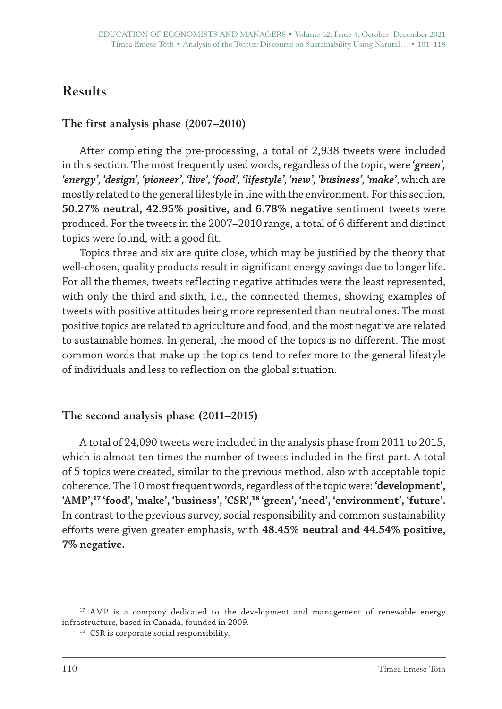# **Results**

## **The first analysis phase (2007–2010)**

After completing the pre-processing, a total of 2,938 tweets were included in this section. The most frequently used words, regardless of the topic, were **'***green', 'energy', 'design', 'pioneer', 'live', 'food', 'lifestyle', 'new', 'business', 'make'*, which are mostly related to the general lifestyle in line with the environment. For this section, **50.27% neutral, 42.95% positive, and 6.78% negative** sentiment tweets were produced. For the tweets in the 2007**–**2010 range, a total of 6 different and distinct topics were found, with a good fit.

Topics three and six are quite close, which may be justified by the theory that well-chosen, quality products result in significant energy savings due to longer life. For all the themes, tweets reflecting negative attitudes were the least represented, with only the third and sixth, i.e., the connected themes, showing examples of tweets with positive attitudes being more represented than neutral ones. The most positive topics are related to agriculture and food, and the most negative are related to sustainable homes. In general, the mood of the topics is no different. The most common words that make up the topics tend to refer more to the general lifestyle of individuals and less to reflection on the global situation.

#### **The second analysis phase (2011–2015)**

A total of 24,090 tweets were included in the analysis phase from 2011 to 2015, which is almost ten times the number of tweets included in the first part. A total of 5 topics were created, similar to the previous method, also with acceptable topic coherence. The 10 most frequent words, regardless of the topic were: **'development', 'AMP',<sup>17</sup> 'food', 'make', 'business', 'CSR',<sup>18</sup> 'green', 'need', 'environment', 'future'.** In contrast to the previous survey, social responsibility and common sustainability efforts were given greater emphasis, with **48.45% neutral and 44.54% positive, 7% negative.**

<sup>&</sup>lt;sup>17</sup> AMP is a company dedicated to the development and management of renewable energy infrastructure, based in Canada, founded in 2009.

<sup>&</sup>lt;sup>18</sup> CSR is corporate social responsibility.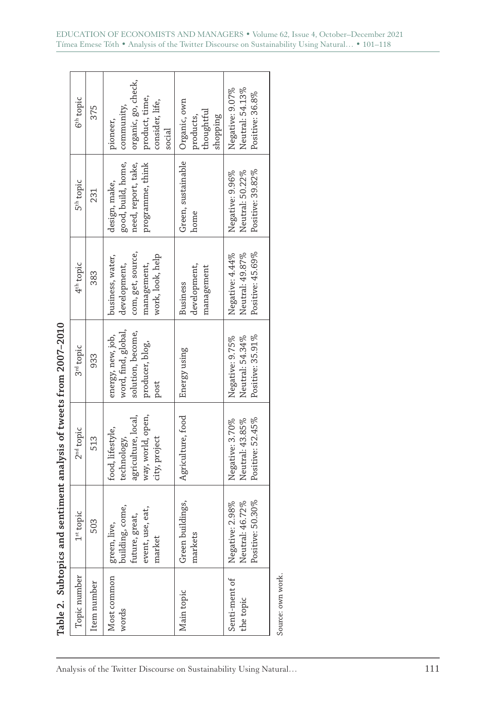| ļ                          |
|----------------------------|
| c<br>C<br>C<br>C<br>C<br>İ |
|                            |
|                            |
|                            |
| ļ<br>j                     |
|                            |
| ı<br>ļ<br>I                |
| ı                          |
| ı                          |
| i                          |
| ı<br>j<br>١                |
| i                          |

|                            |                                                                                                                               | Table 2. Subtopics and sentiment analysis of tweets from 2007–2010                           |                                                                                          |                                                                                          |                                                                                |                                                                                              |
|----------------------------|-------------------------------------------------------------------------------------------------------------------------------|----------------------------------------------------------------------------------------------|------------------------------------------------------------------------------------------|------------------------------------------------------------------------------------------|--------------------------------------------------------------------------------|----------------------------------------------------------------------------------------------|
| Topic number               | $1st$ topic                                                                                                                   | 2 <sup>nd</sup> topic                                                                        | 3 <sup>rd</sup> topic                                                                    | 4 <sup>th</sup> topic                                                                    | 5 <sup>th</sup> topic                                                          | 6 <sup>th</sup> topic                                                                        |
| Item number                | 503                                                                                                                           | 513                                                                                          | 933                                                                                      | 383                                                                                      | 231                                                                            | 375                                                                                          |
| Most common<br>words       | $\begin{bmatrix} \text{green, live,} \\ \text{building, come,} \end{bmatrix}$<br>event, use, eat,<br>future, great,<br>market | way, world, open,<br>agriculture, local,<br>food, lifestyle,<br>technology,<br>city, project | word, find, global,<br>solution, become,<br>energy, new, job,<br>producer, blog,<br>post | com, get, source,<br>work, look, help<br>business, water,<br>development,<br>management, | good, build, home,<br>programme, think<br>need, report, take,<br>design, make, | organic, go, check,<br>product, time,<br>consider, life,<br>community,<br>pioneer,<br>social |
| Main topic                 | Green buildings,<br>markets                                                                                                   | Agriculture, food                                                                            | Energy using                                                                             | development,<br>management<br>Business                                                   | Green, sustainable<br>home                                                     | Organic, own<br>thoughtful<br>shopping<br>products,                                          |
| Senti-ment of<br>the topic | Positive: 50.30%<br>Negative: 2.98%<br>Neutral: 46.72%                                                                        | Positive: 52.45%<br>Negative: 3.70%<br>Neutral: 43.85%                                       | Positive: 35.91%<br>Neutral: 54.34%<br>Negative: 9.75%                                   | Positive: 45.69%<br>Negative: 4.44%<br>Neutral: 49.87%                                   | Positive: 39.82%<br>Negative: 9.96%<br>Neutral: 50.22%                         | Negative: 9.07%<br>Neutral: 54.13%<br>Positive: 36.8%                                        |
| Source: own work.          |                                                                                                                               |                                                                                              |                                                                                          |                                                                                          |                                                                                |                                                                                              |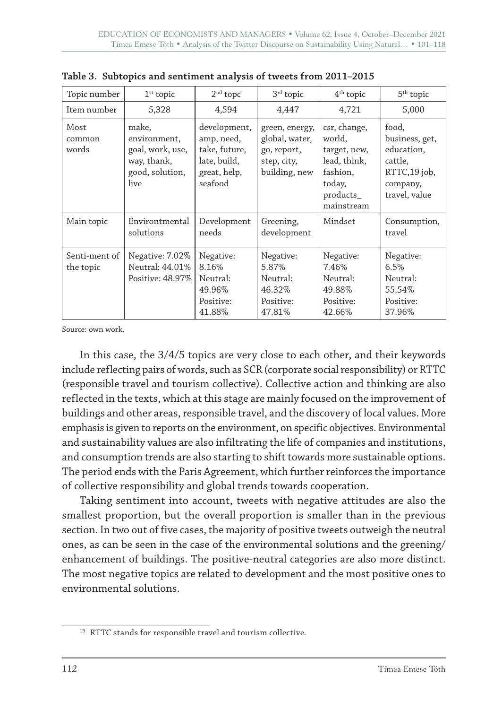| Topic number               | $1st$ topic                                                                         | $2nd$ topc                                                                             | 3 <sup>rd</sup> topic                                                           | $4th$ topic                                                                                             | $5th$ topic                                                                                   |
|----------------------------|-------------------------------------------------------------------------------------|----------------------------------------------------------------------------------------|---------------------------------------------------------------------------------|---------------------------------------------------------------------------------------------------------|-----------------------------------------------------------------------------------------------|
| Item number                | 5,328                                                                               | 4,594                                                                                  | 4,447                                                                           | 4,721                                                                                                   | 5,000                                                                                         |
| Most<br>common<br>words    | make,<br>environment,<br>goal, work, use,<br>way, thank,<br>good, solution,<br>live | development,<br>amp, need,<br>take, future,<br>late, build,<br>great, help,<br>seafood | green, energy,<br>global, water,<br>go, report,<br>step, city,<br>building, new | csr, change,<br>world,<br>target, new,<br>lead, think,<br>fashion,<br>today,<br>products_<br>mainstream | food,<br>business, get,<br>education,<br>cattle,<br>RTTC,19 job,<br>company,<br>travel, value |
| Main topic                 | Environtmental<br>solutions                                                         | Development<br>needs                                                                   | Greening,<br>development                                                        | Mindset                                                                                                 | Consumption,<br>travel                                                                        |
| Senti-ment of<br>the topic | Negative: 7.02%<br>Neutral: 44.01%<br>Positive: 48.97%                              | Negative:<br>8.16%<br>Neutral:<br>49.96%<br>Positive:<br>41.88%                        | Negative:<br>5.87%<br>Neutral:<br>46.32%<br>Positive:<br>47.81%                 | Negative:<br>7.46%<br>Neutral:<br>49.88%<br>Positive:<br>42.66%                                         | Negative:<br>6.5%<br>Neutral:<br>55.54%<br>Positive:<br>37.96%                                |

**Table 3. Subtopics and sentiment analysis of tweets from 2011–2015**

Source: own work.

In this case, the 3/4/5 topics are very close to each other, and their keywords include reflecting pairs of words, such as SCR (corporate social responsibility) or RTTC (responsible travel and tourism collective). Collective action and thinking are also reflected in the texts, which at this stage are mainly focused on the improvement of buildings and other areas, responsible travel, and the discovery of local values. More emphasis is given to reports on the environment, on specific objectives. Environmental and sustainability values are also infiltrating the life of companies and institutions, and consumption trends are also starting to shift towards more sustainable options. The period ends with the Paris Agreement, which further reinforces the importance of collective responsibility and global trends towards cooperation.

Taking sentiment into account, tweets with negative attitudes are also the smallest proportion, but the overall proportion is smaller than in the previous section. In two out of five cases, the majority of positive tweets outweigh the neutral ones, as can be seen in the case of the environmental solutions and the greening/ enhancement of buildings. The positive-neutral categories are also more distinct. The most negative topics are related to development and the most positive ones to environmental solutions.

<sup>&</sup>lt;sup>19</sup> RTTC stands for responsible travel and tourism collective.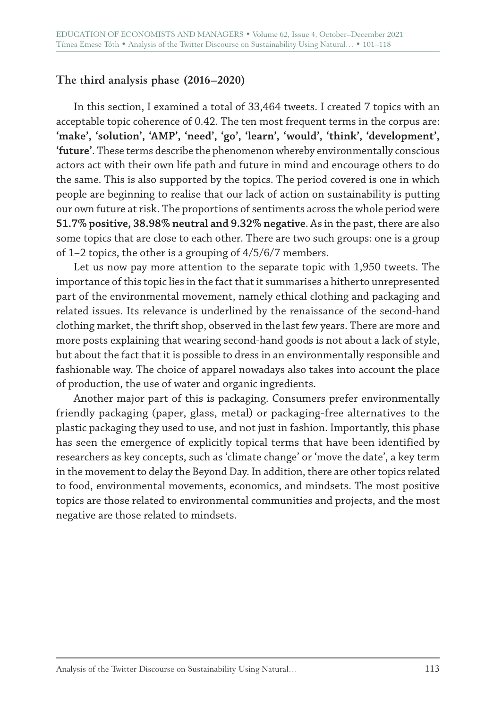#### **The third analysis phase (2016–2020)**

In this section, I examined a total of 33,464 tweets. I created 7 topics with an acceptable topic coherence of 0.42. The ten most frequent terms in the corpus are: **'make', 'solution', 'AMP', 'need', 'go', 'learn', 'would', 'think', 'development', 'future'**. These terms describe the phenomenon whereby environmentally conscious actors act with their own life path and future in mind and encourage others to do the same. This is also supported by the topics. The period covered is one in which people are beginning to realise that our lack of action on sustainability is putting our own future at risk. The proportions of sentiments across the whole period were **51.7% positive, 38.98% neutral and 9.32% negative**. As in the past, there are also some topics that are close to each other. There are two such groups: one is a group of 1–2 topics, the other is a grouping of 4/5/6/7 members.

Let us now pay more attention to the separate topic with 1,950 tweets. The importance of this topic lies in the fact that it summarises a hitherto unrepresented part of the environmental movement, namely ethical clothing and packaging and related issues. Its relevance is underlined by the renaissance of the second-hand clothing market, the thrift shop, observed in the last few years. There are more and more posts explaining that wearing second-hand goods is not about a lack of style, but about the fact that it is possible to dress in an environmentally responsible and fashionable way. The choice of apparel nowadays also takes into account the place of production, the use of water and organic ingredients.

Another major part of this is packaging. Consumers prefer environmentally friendly packaging (paper, glass, metal) or packaging-free alternatives to the plastic packaging they used to use, and not just in fashion. Importantly, this phase has seen the emergence of explicitly topical terms that have been identified by researchers as key concepts, such as 'climate change' or 'move the date', a key term in the movement to delay the Beyond Day. In addition, there are other topics related to food, environmental movements, economics, and mindsets. The most positive topics are those related to environmental communities and projects, and the most negative are those related to mindsets.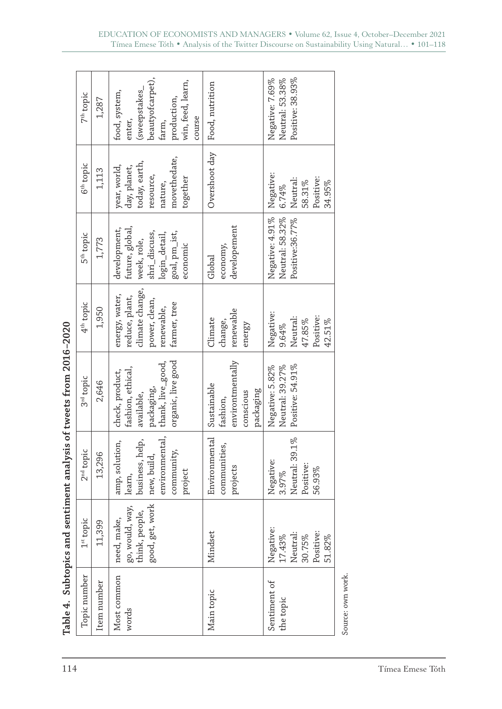|                                                                                                                                                                                                                                | 7 <sup>th</sup> topic<br>6 <sup>th</sup> topic | 1,287<br>1,113 | beautyofcarpet),<br>win, feed, learn,<br>(sweepstakes_<br>food, system,<br>production,<br>course<br>enter,<br>farm,<br>movethedate,<br>today, earth,<br>year, world,<br>day, planet,<br>resource,<br>together | Food, nutrition<br>Overshoot day                                      | Positive: 38.93%<br>Negative: 7.69%<br>Neutral: 53.38%<br>Negative:<br>Positive:               |
|--------------------------------------------------------------------------------------------------------------------------------------------------------------------------------------------------------------------------------|------------------------------------------------|----------------|---------------------------------------------------------------------------------------------------------------------------------------------------------------------------------------------------------------|-----------------------------------------------------------------------|------------------------------------------------------------------------------------------------|
|                                                                                                                                                                                                                                | 5 <sup>th</sup> topic                          | 1,773          | nature,<br>future, global,<br>development,<br>goal, pm_ist,<br>shri_discuss,<br>login_detail,<br>week, role,<br>economic                                                                                      | developement<br>economy,<br>Global                                    | Neutral:<br>58.31%<br>34.95%<br>6.74%<br>Negative: 4.91%<br>Neutral: 58.32%<br>Positive:36.77% |
|                                                                                                                                                                                                                                | 4 <sup>th</sup> topic                          | 1,950          | climate change,<br>energy, water,<br>reduce, plant,<br>power, clean,<br>farmer, tree<br>renewable,                                                                                                            | renewable<br>Climate<br>change,<br>energy                             | Negative:<br>Neutral:<br>Positive:<br>47.85%<br>42.51%<br>9.64%                                |
| n direction of the sense of the sense of the sense of the sense of the sense of the sense of the sense of the sense of the sense of the sense of the sense of the sense of the sense of the sense of the sense of the sense of | 3 <sup>rd</sup> topic                          | 2,646          | organic, live good<br>thank, live_good,<br>fashion, ethical,<br>check, product,<br>packaging,<br>available,                                                                                                   | environtmentally<br>Sustainable<br>packaging<br>conscious<br>fashion, | Positive: 54.91%<br>Negative: 5.82%<br>Neutral: 39.27%                                         |
|                                                                                                                                                                                                                                | 2 <sup>nd</sup> topic                          | 13,296         | environmental,<br>business, help,<br>amp, solution,<br>community,<br>new, build,<br>project<br>learn,                                                                                                         | Environmental<br>communities,<br>projects                             | Neutral: 39.1%<br>Negative:<br>Positive:<br>56.93%<br>3.97%                                    |
|                                                                                                                                                                                                                                | $1st$ topic                                    | 1,399          | good, get, work<br>go, would, way,<br>think, people,<br>need, make,                                                                                                                                           | Mindset                                                               | Negative:<br>Neutral:<br>Positive:<br>17.43%<br>30.75%<br>51.82%                               |
|                                                                                                                                                                                                                                | Topic number                                   | Item number    | Most common<br>words                                                                                                                                                                                          | Main topic                                                            | Sentiment of<br>the topic                                                                      |

| くくく くちく<br>í<br>l    |
|----------------------|
| ו<br>ו               |
|                      |
|                      |
|                      |
| í                    |
| ここす やう りょうこうりょう<br>i |
| İ                    |
| í                    |
| י האורה הוא ה        |
| י<br>גו<br>l<br>ı    |

Source: own work.

Source: own work.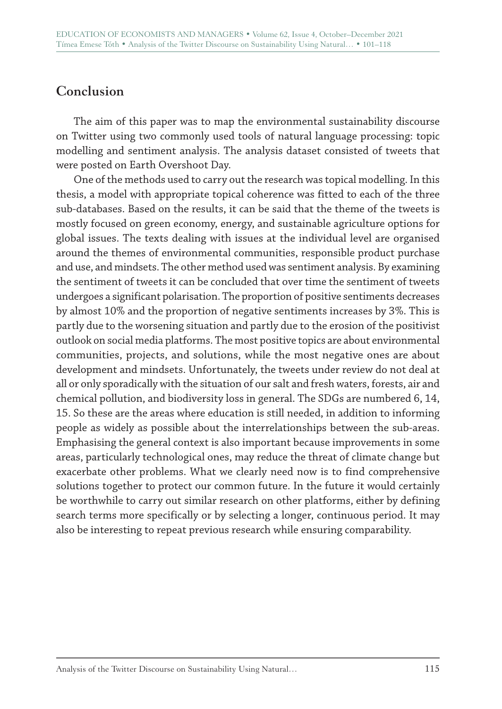## **Conclusion**

The aim of this paper was to map the environmental sustainability discourse on Twitter using two commonly used tools of natural language processing: topic modelling and sentiment analysis. The analysis dataset consisted of tweets that were posted on Earth Overshoot Day.

One of the methods used to carry out the research was topical modelling. In this thesis, a model with appropriate topical coherence was fitted to each of the three sub-databases. Based on the results, it can be said that the theme of the tweets is mostly focused on green economy, energy, and sustainable agriculture options for global issues. The texts dealing with issues at the individual level are organised around the themes of environmental communities, responsible product purchase and use, and mindsets. The other method used was sentiment analysis. By examining the sentiment of tweets it can be concluded that over time the sentiment of tweets undergoes a significant polarisation. The proportion of positive sentiments decreases by almost 10% and the proportion of negative sentiments increases by 3%. This is partly due to the worsening situation and partly due to the erosion of the positivist outlook on social media platforms. The most positive topics are about environmental communities, projects, and solutions, while the most negative ones are about development and mindsets. Unfortunately, the tweets under review do not deal at all or only sporadically with the situation of our salt and fresh waters, forests, air and chemical pollution, and biodiversity loss in general. The SDGs are numbered 6, 14, 15. So these are the areas where education is still needed, in addition to informing people as widely as possible about the interrelationships between the sub-areas. Emphasising the general context is also important because improvements in some areas, particularly technological ones, may reduce the threat of climate change but exacerbate other problems. What we clearly need now is to find comprehensive solutions together to protect our common future. In the future it would certainly be worthwhile to carry out similar research on other platforms, either by defining search terms more specifically or by selecting a longer, continuous period. It may also be interesting to repeat previous research while ensuring comparability.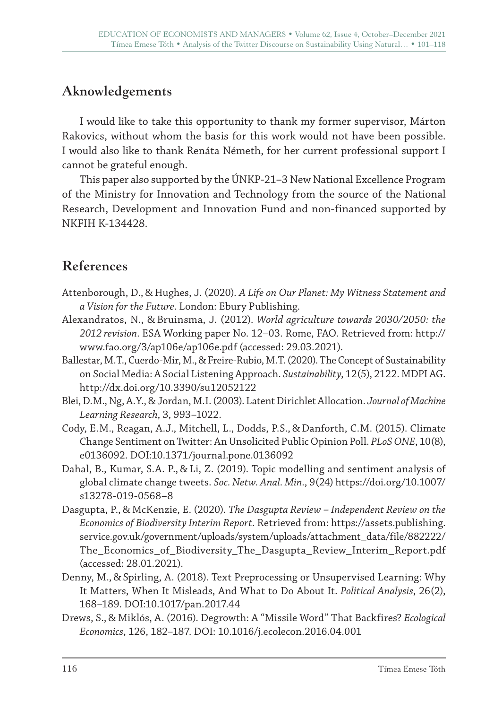## **Aknowledgements**

I would like to take this opportunity to thank my former supervisor, Márton Rakovics, without whom the basis for this work would not have been possible. I would also like to thank Renáta Németh, for her current professional support I cannot be grateful enough.

This paper also supported by the ÚNKP-21–3 New National Excellence Program of the Ministry for Innovation and Technology from the source of the National Research, Development and Innovation Fund and non-financed supported by NKFIH K-134428.

# **References**

- Attenborough, D., & Hughes, J. (2020). *A Life on Our Planet: My Witness Statement and a Vision for the Future*. London: Ebury Publishing.
- Alexandratos, N., & Bruinsma, J. (2012). *World agriculture towards 2030/2050: the 2012 revision*. ESA Working paper No. 12–03. Rome, FAO. Retrieved from: http:// www.fao.org/3/ap106e/ap106e.pdf (accessed: 29.03.2021).
- Ballestar, M.T., Cuerdo-Mir, M., & Freire-Rubio, M.T. (2020). The Concept of Sustainability on Social Media: A Social Listening Approach. *Sustainability*, 12(5), 2122. MDPI AG. http://dx.doi.org/10.3390/su12052122
- Blei, D.M., Ng, A.Y., & Jordan, M.I. (2003). Latent Dirichlet Allocation. *Journal of Machine Learning Research*, 3, 993–1022.
- Cody, E.M., Reagan, A.J., Mitchell, L., Dodds, P.S., & Danforth, C.M. (2015). Climate Change Sentiment on Twitter: An Unsolicited Public Opinion Poll. *PLoS ONE*, 10(8), e0136092. DOI:10.1371/journal.pone.0136092
- Dahal, B., Kumar, S.A. P., & Li, Z. (2019). Topic modelling and sentiment analysis of global climate change tweets. *Soc. Netw. Anal. Min.*, 9(24) https://doi.org/10.1007/ s13278-019-0568–8
- Dasgupta, P., & McKenzie, E. (2020). *The Dasgupta Review Independent Review on the Economics of Biodiversity Interim Report*. Retrieved from: https://assets.publishing. service.gov.uk/government/uploads/system/uploads/attachment\_data/file/882222/ The\_Economics\_of\_Biodiversity\_The\_Dasgupta\_Review\_Interim\_Report.pdf (accessed: 28.01.2021).
- Denny, M., & Spirling, A. (2018). Text Preprocessing or Unsupervised Learning: Why It Matters, When It Misleads, And What to Do About It. *Political Analysis*, 26(2), 168–189. DOI:10.1017/pan.2017.44
- Drews, S., & Miklós, A. (2016). Degrowth: A "Missile Word" That Backfires? *Ecological Economics*, 126, 182–187. DOI: 10.1016/j.ecolecon.2016.04.001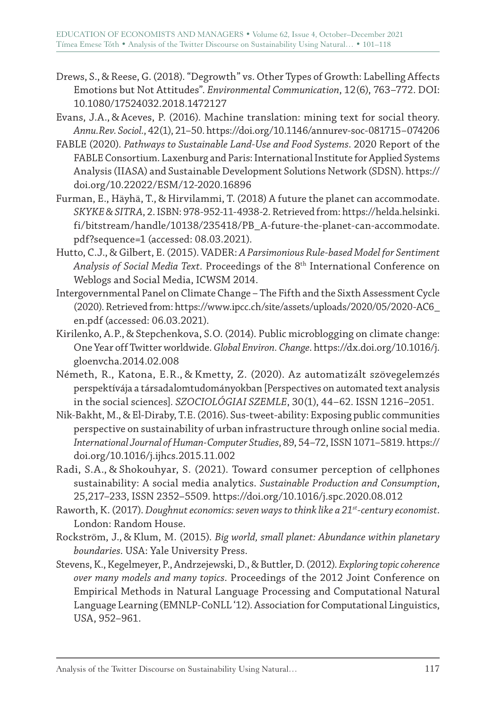- Drews, S., & Reese, G. (2018). "Degrowth" vs. Other Types of Growth: Labelling Affects Emotions but Not Attitudes". *Environmental Communication*, 12(6), 763–772. DOI: 10.1080/17524032.2018.1472127
- Evans, J.A., & Aceves, P. (2016). Machine translation: mining text for social theory. *Annu.Rev. Sociol.*, 42(1), 21–50. https://doi.org/10.1146/annurev-soc-081715–074206
- FABLE (2020). *Pathways to Sustainable Land-Use and Food Systems*. 2020 Report of the FABLE Consortium. Laxenburg and Paris: International Institute for Applied Systems Analysis (IIASA) and Sustainable Development Solutions Network (SDSN). https:// doi.org/10.22022/ESM/12-2020.16896
- Furman, E., Häyhä, T., & Hirvilammi, T. (2018) A future the planet can accommodate. *SKYKE&SITRA*, 2. ISBN: 978-952-11-4938-2. Retrieved from: https://helda.helsinki. fi/bitstream/handle/10138/235418/PB\_A-future-the-planet-can-accommodate. pdf?sequence=1 (accessed: 08.03.2021).
- Hutto, C.J., & Gilbert, E. (2015). VADER: *A Parsimonious Rule-based Model for Sentiment Analysis of Social Media Text*. Proceedings of the 8th International Conference on Weblogs and Social Media, ICWSM 2014.
- Intergovernmental Panel on Climate Change The Fifth and the Sixth Assessment Cycle (2020). Retrieved from: https://www.ipcc.ch/site/assets/uploads/2020/05/2020-AC6\_ en.pdf (accessed: 06.03.2021).
- Kirilenko, A.P., & Stepchenkova, S.O. (2014). Public microblogging on climate change: One Year off Twitter worldwide. *Global Environ. Change*. https://dx.doi.org/10.1016/j. gloenvcha.2014.02.008
- Németh, R., Katona, E.R., & Kmetty, Z. (2020). Az automatizált szövegelemzés perspektívája a társadalomtudományokban [Perspectives on automated text analysis in the social sciences]*. SZOCIOLÓGIAI SZEMLE*, 30(1), 44–62. ISSN 1216–2051.
- Nik-Bakht, M., & El-Diraby, T.E. (2016). Sus-tweet-ability: Exposing public communities perspective on sustainability of urban infrastructure through online social media. *International Journal of Human-Computer Studies*, 89, 54–72, ISSN 1071–5819. https:// doi.org/10.1016/j.ijhcs.2015.11.002
- Radi, S.A., & Shokouhyar, S. (2021). Toward consumer perception of cellphones sustainability: A social media analytics. *Sustainable Production and Consumption*, 25,217–233, ISSN 2352–5509. https://doi.org/10.1016/j.spc.2020.08.012
- Raworth, K. (2017). *Doughnut economics: seven ways to think like a 21st-century economist*. London: Random House.
- Rockström, J., & Klum, M. (2015). *Big world, small planet: Abundance within planetary boundaries*. USA: Yale University Press.
- Stevens, K., Kegelmeyer, P., Andrzejewski, D., & Buttler, D. (2012). *Exploring topic coherence over many models and many topics*. Proceedings of the 2012 Joint Conference on Empirical Methods in Natural Language Processing and Computational Natural Language Learning (EMNLP-CoNLL '12). Association for Computational Linguistics, USA, 952–961.